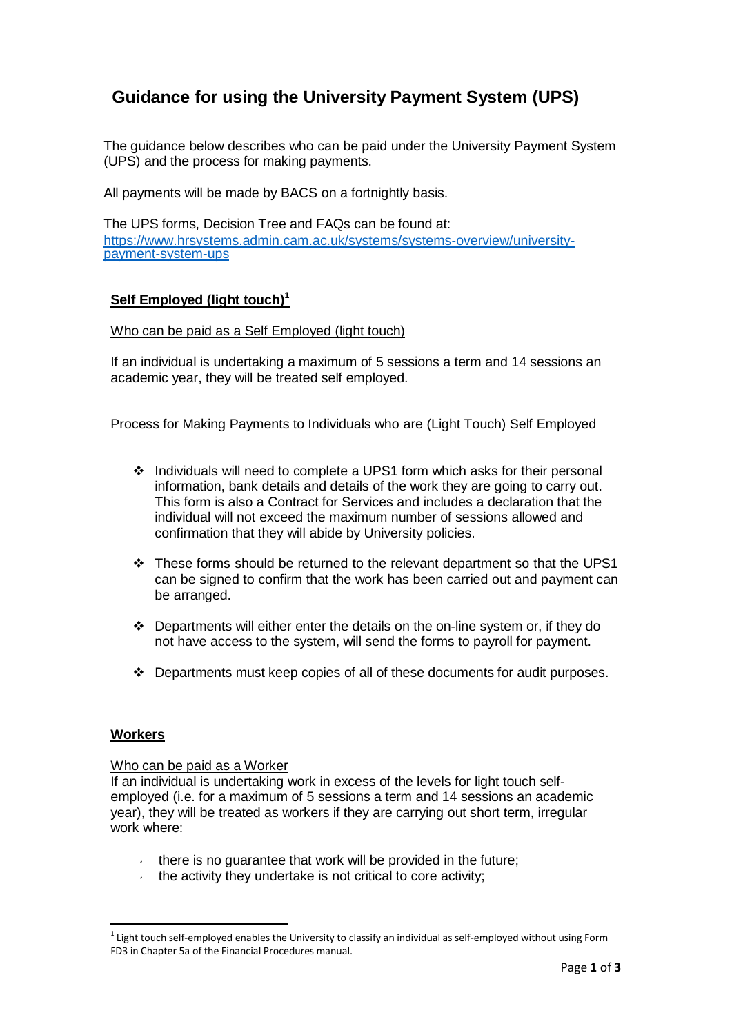# **Guidance for using the University Payment System (UPS)**

The guidance below describes who can be paid under the University Payment System (UPS) and the process for making payments.

All payments will be made by BACS on a fortnightly basis.

The UPS forms, Decision Tree and FAQs can be found at: [https://www.hrsystems.admin.cam.ac.uk/systems/systems-overview/university](https://www.hrsystems.admin.cam.ac.uk/systems/systems-overview/university-payment-system-ups)[payment-system-ups](https://www.hrsystems.admin.cam.ac.uk/systems/systems-overview/university-payment-system-ups)

## **Self Employed (light touch)<sup>1</sup>**

## Who can be paid as a Self Employed (light touch)

If an individual is undertaking a maximum of 5 sessions a term and 14 sessions an academic year, they will be treated self employed.

## Process for Making Payments to Individuals who are (Light Touch) Self Employed

- Individuals will need to complete a UPS1 form which asks for their personal information, bank details and details of the work they are going to carry out. This form is also a Contract for Services and includes a declaration that the individual will not exceed the maximum number of sessions allowed and confirmation that they will abide by University policies.
- $\cdot \cdot$  These forms should be returned to the relevant department so that the UPS1 can be signed to confirm that the work has been carried out and payment can be arranged.
- $\div$  Departments will either enter the details on the on-line system or, if they do not have access to the system, will send the forms to payroll for payment.
- $\div$  Departments must keep copies of all of these documents for audit purposes.

#### **Workers**

#### Who can be paid as a Worker

If an individual is undertaking work in excess of the levels for light touch selfemployed (i.e. for a maximum of 5 sessions a term and 14 sessions an academic year), they will be treated as workers if they are carrying out short term, irregular work where:

- $\cdot$  there is no guarantee that work will be provided in the future;
- $\cdot$  the activity they undertake is not critical to core activity;

 $^1$  Light touch self-employed enables the University to classify an individual as self-employed without using Form FD3 in Chapter 5a of the Financial Procedures manual.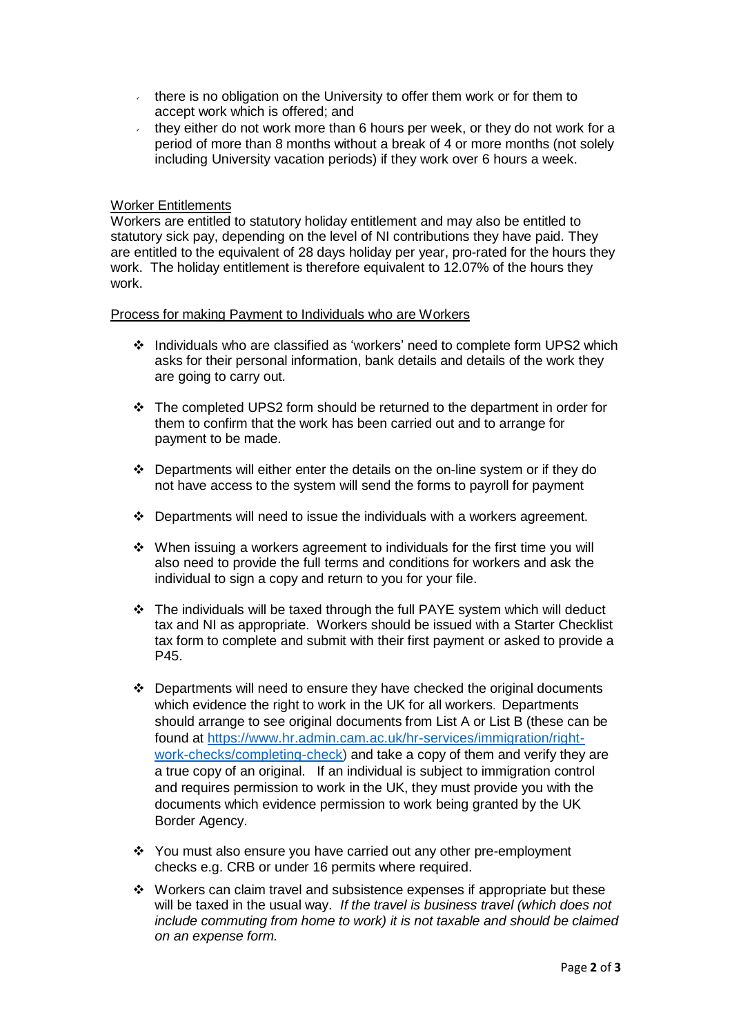- there is no obligation on the University to offer them work or for them to  $\mathbf{v}^{(i)}$ accept work which is offered; and
- $\hat{\mathbf{z}}$ they either do not work more than 6 hours per week, or they do not work for a period of more than 8 months without a break of 4 or more months (not solely including University vacation periods) if they work over 6 hours a week.

## Worker Entitlements

Workers are entitled to statutory holiday entitlement and may also be entitled to statutory sick pay, depending on the level of NI contributions they have paid. They are entitled to the equivalent of 28 days holiday per year, pro-rated for the hours they work. The holiday entitlement is therefore equivalent to 12.07% of the hours they work.

#### Process for making Payment to Individuals who are Workers

- Individuals who are classified as 'workers' need to complete form UPS2 which asks for their personal information, bank details and details of the work they are going to carry out.
- $\div$  The completed UPS2 form should be returned to the department in order for them to confirm that the work has been carried out and to arrange for payment to be made.
- $\div$  Departments will either enter the details on the on-line system or if they do not have access to the system will send the forms to payroll for payment
- Departments will need to issue the individuals with a workers agreement.
- $\cdot \cdot$  When issuing a workers agreement to individuals for the first time you will also need to provide the full terms and conditions for workers and ask the individual to sign a copy and return to you for your file.
- \* The individuals will be taxed through the full PAYE system which will deduct tax and NI as appropriate. Workers should be issued with a Starter Checklist tax form to complete and submit with their first payment or asked to provide a P45.
- Departments will need to ensure they have checked the original documents which evidence the right to work in the UK for all workers. Departments should arrange to see original documents from List A or List B (these can be found at [https://www.hr.admin.cam.ac.uk/hr-services/immigration/right](https://www.hr.admin.cam.ac.uk/hr-services/immigration/right-work-checks/completing-check)[work-checks/completing-check\)](https://www.hr.admin.cam.ac.uk/hr-services/immigration/right-work-checks/completing-check) and take a copy of them and verify they are a true copy of an original. If an individual is subject to immigration control and requires permission to work in the UK, they must provide you with the documents which evidence permission to work being granted by the UK Border Agency.
- You must also ensure you have carried out any other pre-employment checks e.g. CRB or under 16 permits where required.
- Workers can claim travel and subsistence expenses if appropriate but these will be taxed in the usual way. *If the travel is business travel (which does not include commuting from home to work) it is not taxable and should be claimed on an expense form.*